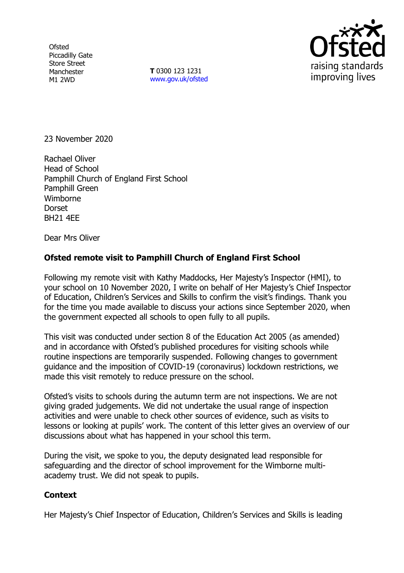**Ofsted** Piccadilly Gate Store Street Manchester M1 2WD

**T** 0300 123 1231 [www.gov.uk/ofsted](http://www.gov.uk/ofsted)



23 November 2020

Rachael Oliver Head of School Pamphill Church of England First School Pamphill Green Wimborne Dorset BH21 4EE

Dear Mrs Oliver

## **Ofsted remote visit to Pamphill Church of England First School**

Following my remote visit with Kathy Maddocks, Her Majesty's Inspector (HMI), to your school on 10 November 2020, I write on behalf of Her Majesty's Chief Inspector of Education, Children's Services and Skills to confirm the visit's findings. Thank you for the time you made available to discuss your actions since September 2020, when the government expected all schools to open fully to all pupils.

This visit was conducted under section 8 of the Education Act 2005 (as amended) and in accordance with Ofsted's published procedures for visiting schools while routine inspections are temporarily suspended. Following changes to government guidance and the imposition of COVID-19 (coronavirus) lockdown restrictions, we made this visit remotely to reduce pressure on the school.

Ofsted's visits to schools during the autumn term are not inspections. We are not giving graded judgements. We did not undertake the usual range of inspection activities and were unable to check other sources of evidence, such as visits to lessons or looking at pupils' work. The content of this letter gives an overview of our discussions about what has happened in your school this term.

During the visit, we spoke to you, the deputy designated lead responsible for safeguarding and the director of school improvement for the Wimborne multiacademy trust. We did not speak to pupils.

## **Context**

Her Majesty's Chief Inspector of Education, Children's Services and Skills is leading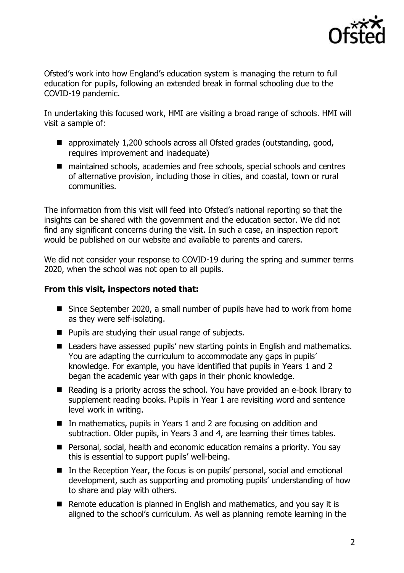

Ofsted's work into how England's education system is managing the return to full education for pupils, following an extended break in formal schooling due to the COVID-19 pandemic.

In undertaking this focused work, HMI are visiting a broad range of schools. HMI will visit a sample of:

- approximately 1,200 schools across all Ofsted grades (outstanding, good, requires improvement and inadequate)
- maintained schools, academies and free schools, special schools and centres of alternative provision, including those in cities, and coastal, town or rural communities.

The information from this visit will feed into Ofsted's national reporting so that the insights can be shared with the government and the education sector. We did not find any significant concerns during the visit. In such a case, an inspection report would be published on our website and available to parents and carers.

We did not consider your response to COVID-19 during the spring and summer terms 2020, when the school was not open to all pupils.

## **From this visit, inspectors noted that:**

- Since September 2020, a small number of pupils have had to work from home as they were self-isolating.
- Pupils are studving their usual range of subjects.
- Leaders have assessed pupils' new starting points in English and mathematics. You are adapting the curriculum to accommodate any gaps in pupils' knowledge. For example, you have identified that pupils in Years 1 and 2 began the academic year with gaps in their phonic knowledge.
- Reading is a priority across the school. You have provided an e-book library to supplement reading books. Pupils in Year 1 are revisiting word and sentence level work in writing.
- In mathematics, pupils in Years 1 and 2 are focusing on addition and subtraction. Older pupils, in Years 3 and 4, are learning their times tables.
- Personal, social, health and economic education remains a priority. You say this is essential to support pupils' well-being.
- In the Reception Year, the focus is on pupils' personal, social and emotional development, such as supporting and promoting pupils' understanding of how to share and play with others.
- Remote education is planned in English and mathematics, and you say it is aligned to the school's curriculum. As well as planning remote learning in the